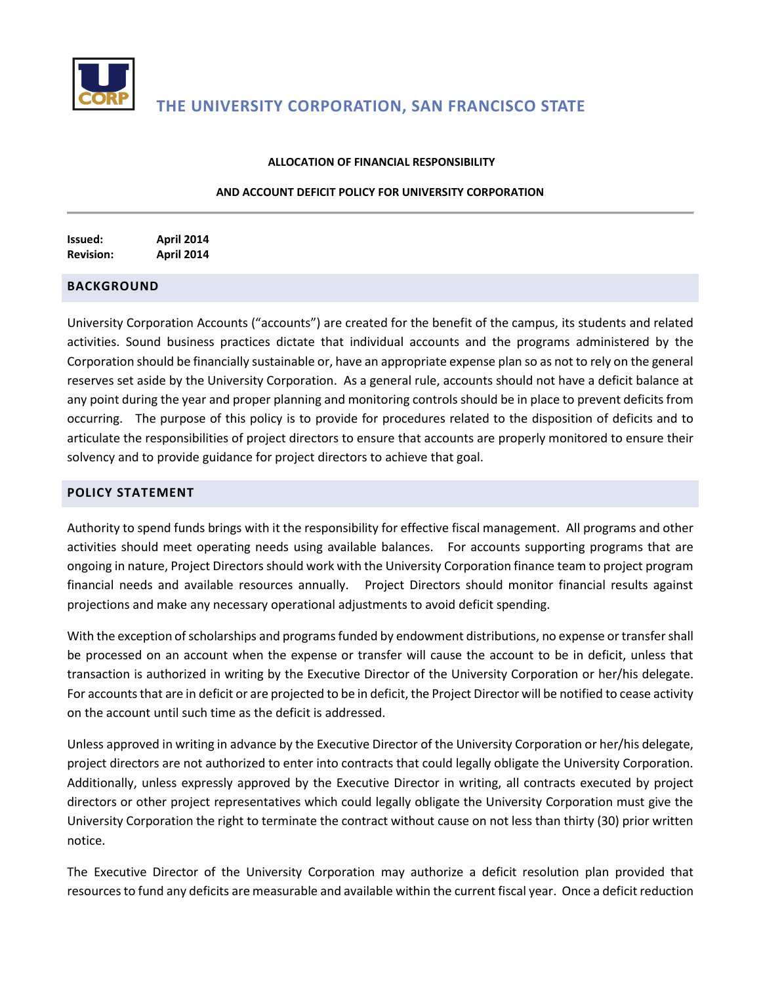

#### **ALLOCATION OF FINANCIAL RESPONSIBILITY**

#### **AND ACCOUNT DEFICIT POLICY FOR UNIVERSITY CORPORATION**

**Issued: April 2014 Revision: April 2014**

## **BACKGROUND**

University Corporation Accounts ("accounts") are created for the benefit of the campus, its students and related activities. Sound business practices dictate that individual accounts and the programs administered by the Corporation should be financially sustainable or, have an appropriate expense plan so as not to rely on the general reserves set aside by the University Corporation. As a general rule, accounts should not have a deficit balance at any point during the year and proper planning and monitoring controls should be in place to prevent deficits from occurring. The purpose of this policy is to provide for procedures related to the disposition of deficits and to articulate the responsibilities of project directors to ensure that accounts are properly monitored to ensure their solvency and to provide guidance for project directors to achieve that goal.

## **POLICY STATEMENT**

Authority to spend funds brings with it the responsibility for effective fiscal management. All programs and other activities should meet operating needs using available balances. For accounts supporting programs that are ongoing in nature, Project Directors should work with the University Corporation finance team to project program financial needs and available resources annually. Project Directors should monitor financial results against projections and make any necessary operational adjustments to avoid deficit spending.

With the exception of scholarships and programs funded by endowment distributions, no expense or transfer shall be processed on an account when the expense or transfer will cause the account to be in deficit, unless that transaction is authorized in writing by the Executive Director of the University Corporation or her/his delegate. For accounts that are in deficit or are projected to be in deficit, the Project Director will be notified to cease activity on the account until such time as the deficit is addressed.

Unless approved in writing in advance by the Executive Director of the University Corporation or her/his delegate, project directors are not authorized to enter into contracts that could legally obligate the University Corporation. Additionally, unless expressly approved by the Executive Director in writing, all contracts executed by project directors or other project representatives which could legally obligate the University Corporation must give the University Corporation the right to terminate the contract without cause on not less than thirty (30) prior written notice.

The Executive Director of the University Corporation may authorize a deficit resolution plan provided that resources to fund any deficits are measurable and available within the current fiscal year. Once a deficit reduction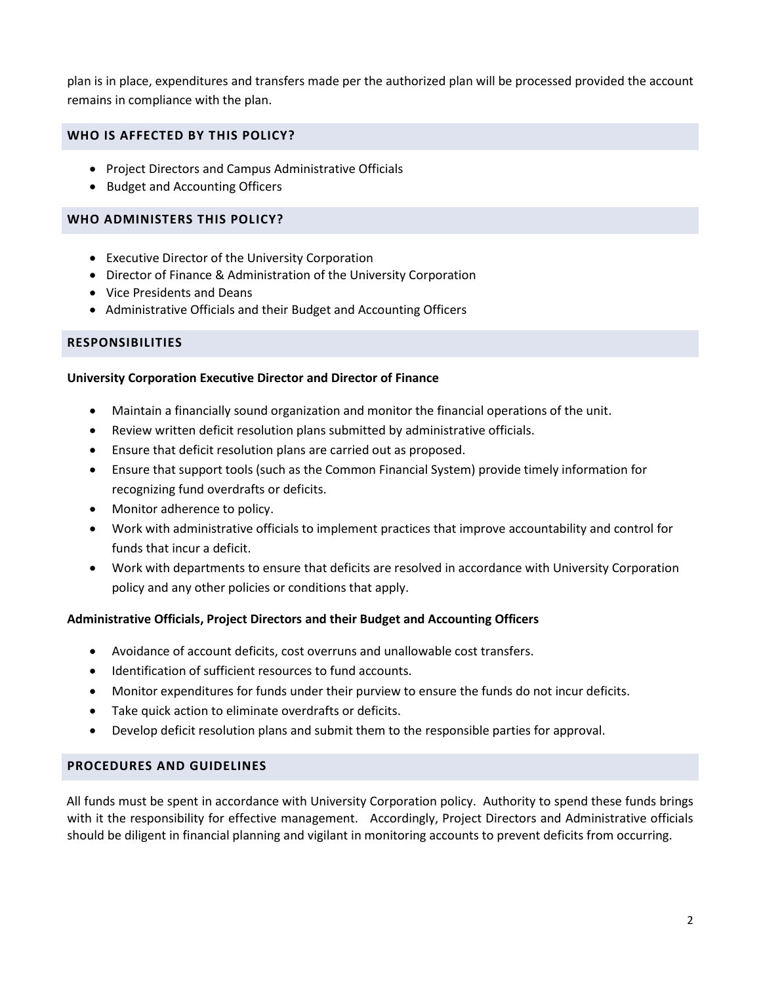plan is in place, expenditures and transfers made per the authorized plan will be processed provided the account remains in compliance with the plan.

## **WHO IS AFFECTED BY THIS POLICY?**

- Project Directors and Campus Administrative Officials
- Budget and Accounting Officers

## **WHO ADMINISTERS THIS POLICY?**

- Executive Director of the University Corporation
- Director of Finance & Administration of the University Corporation
- Vice Presidents and Deans
- Administrative Officials and their Budget and Accounting Officers

#### **RESPONSIBILITIES**

#### **University Corporation Executive Director and Director of Finance**

- Maintain a financially sound organization and monitor the financial operations of the unit.
- Review written deficit resolution plans submitted by administrative officials.
- Ensure that deficit resolution plans are carried out as proposed.
- Ensure that support tools (such as the Common Financial System) provide timely information for recognizing fund overdrafts or deficits.
- Monitor adherence to policy.
- Work with administrative officials to implement practices that improve accountability and control for funds that incur a deficit.
- Work with departments to ensure that deficits are resolved in accordance with University Corporation policy and any other policies or conditions that apply.

#### **Administrative Officials, Project Directors and their Budget and Accounting Officers**

- Avoidance of account deficits, cost overruns and unallowable cost transfers.
- Identification of sufficient resources to fund accounts.
- Monitor expenditures for funds under their purview to ensure the funds do not incur deficits.
- Take quick action to eliminate overdrafts or deficits.
- Develop deficit resolution plans and submit them to the responsible parties for approval.

#### **PROCEDURES AND GUIDELINES**

All funds must be spent in accordance with University Corporation policy. Authority to spend these funds brings with it the responsibility for effective management. Accordingly, Project Directors and Administrative officials should be diligent in financial planning and vigilant in monitoring accounts to prevent deficits from occurring.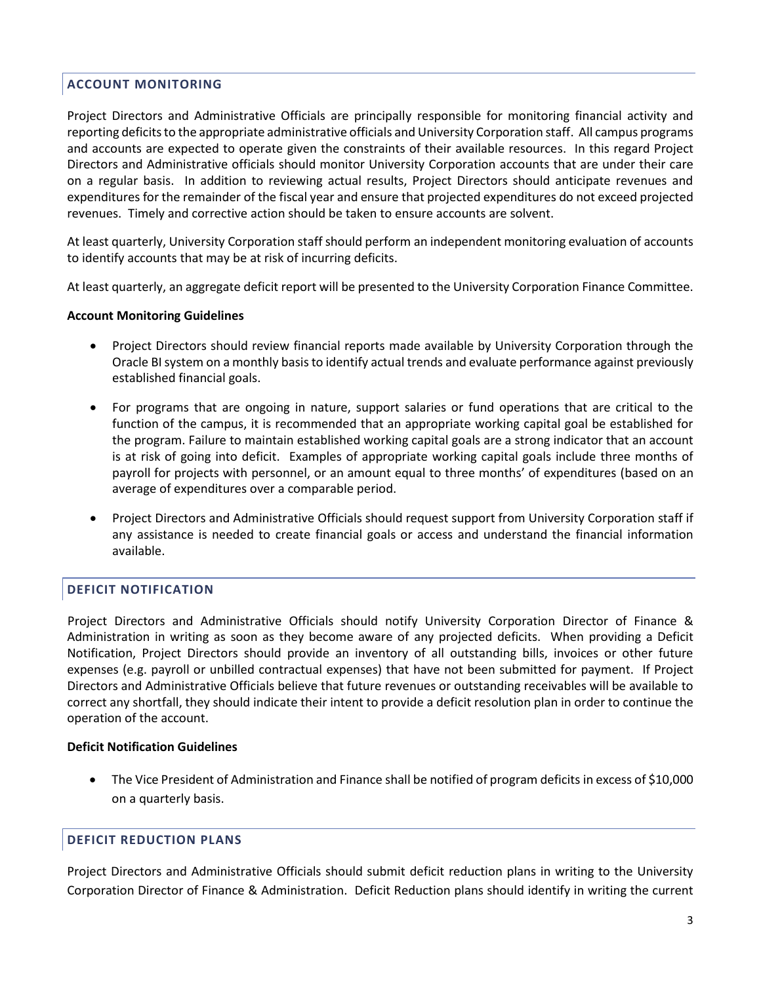## **ACCOUNT MONITORING**

Project Directors and Administrative Officials are principally responsible for monitoring financial activity and reporting deficits to the appropriate administrative officials and University Corporation staff. All campus programs and accounts are expected to operate given the constraints of their available resources. In this regard Project Directors and Administrative officials should monitor University Corporation accounts that are under their care on a regular basis. In addition to reviewing actual results, Project Directors should anticipate revenues and expenditures for the remainder of the fiscal year and ensure that projected expenditures do not exceed projected revenues. Timely and corrective action should be taken to ensure accounts are solvent.

At least quarterly, University Corporation staff should perform an independent monitoring evaluation of accounts to identify accounts that may be at risk of incurring deficits.

At least quarterly, an aggregate deficit report will be presented to the University Corporation Finance Committee.

#### **Account Monitoring Guidelines**

- Project Directors should review financial reports made available by University Corporation through the Oracle BI system on a monthly basis to identify actual trends and evaluate performance against previously established financial goals.
- For programs that are ongoing in nature, support salaries or fund operations that are critical to the function of the campus, it is recommended that an appropriate working capital goal be established for the program. Failure to maintain established working capital goals are a strong indicator that an account is at risk of going into deficit. Examples of appropriate working capital goals include three months of payroll for projects with personnel, or an amount equal to three months' of expenditures (based on an average of expenditures over a comparable period.
- Project Directors and Administrative Officials should request support from University Corporation staff if any assistance is needed to create financial goals or access and understand the financial information available.

# **DEFICIT NOTIFICATION**

Project Directors and Administrative Officials should notify University Corporation Director of Finance & Administration in writing as soon as they become aware of any projected deficits. When providing a Deficit Notification, Project Directors should provide an inventory of all outstanding bills, invoices or other future expenses (e.g. payroll or unbilled contractual expenses) that have not been submitted for payment. If Project Directors and Administrative Officials believe that future revenues or outstanding receivables will be available to correct any shortfall, they should indicate their intent to provide a deficit resolution plan in order to continue the operation of the account.

#### **Deficit Notification Guidelines**

 The Vice President of Administration and Finance shall be notified of program deficits in excess of \$10,000 on a quarterly basis.

#### **DEFICIT REDUCTION PLANS**

Project Directors and Administrative Officials should submit deficit reduction plans in writing to the University Corporation Director of Finance & Administration. Deficit Reduction plans should identify in writing the current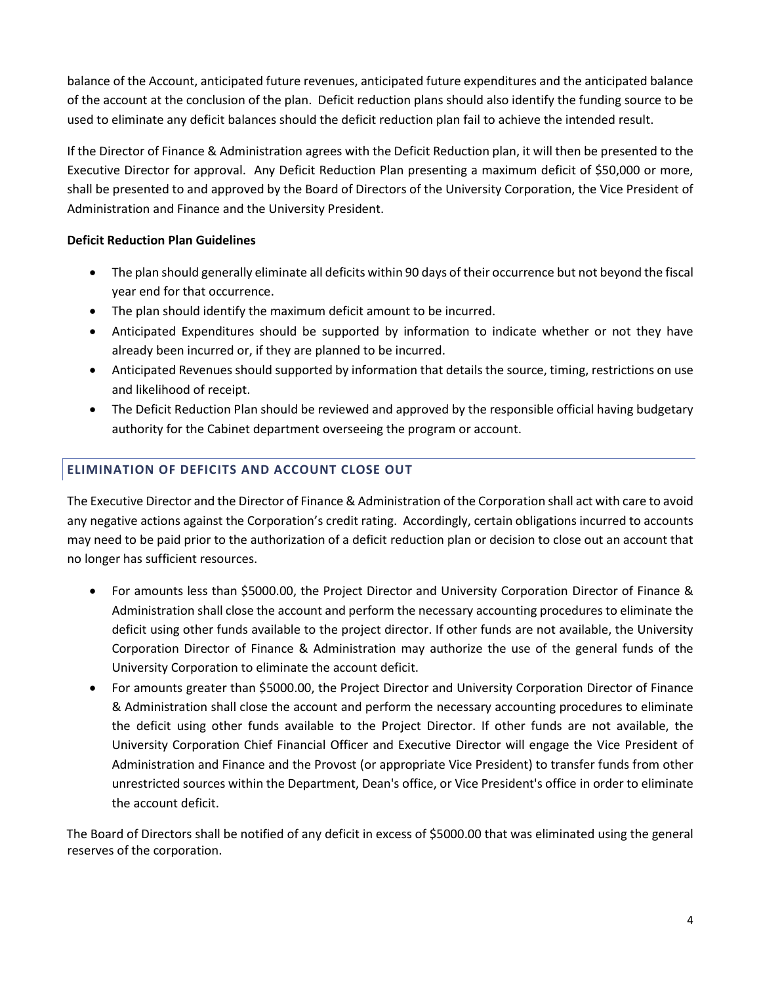balance of the Account, anticipated future revenues, anticipated future expenditures and the anticipated balance of the account at the conclusion of the plan. Deficit reduction plans should also identify the funding source to be used to eliminate any deficit balances should the deficit reduction plan fail to achieve the intended result.

If the Director of Finance & Administration agrees with the Deficit Reduction plan, it will then be presented to the Executive Director for approval. Any Deficit Reduction Plan presenting a maximum deficit of \$50,000 or more, shall be presented to and approved by the Board of Directors of the University Corporation, the Vice President of Administration and Finance and the University President.

# **Deficit Reduction Plan Guidelines**

- The plan should generally eliminate all deficits within 90 days of their occurrence but not beyond the fiscal year end for that occurrence.
- The plan should identify the maximum deficit amount to be incurred.
- Anticipated Expenditures should be supported by information to indicate whether or not they have already been incurred or, if they are planned to be incurred.
- Anticipated Revenues should supported by information that details the source, timing, restrictions on use and likelihood of receipt.
- The Deficit Reduction Plan should be reviewed and approved by the responsible official having budgetary authority for the Cabinet department overseeing the program or account.

# **ELIMINATION OF DEFICITS AND ACCOUNT CLOSE OUT**

The Executive Director and the Director of Finance & Administration of the Corporation shall act with care to avoid any negative actions against the Corporation's credit rating. Accordingly, certain obligations incurred to accounts may need to be paid prior to the authorization of a deficit reduction plan or decision to close out an account that no longer has sufficient resources.

- For amounts less than \$5000.00, the Project Director and University Corporation Director of Finance & Administration shall close the account and perform the necessary accounting procedures to eliminate the deficit using other funds available to the project director. If other funds are not available, the University Corporation Director of Finance & Administration may authorize the use of the general funds of the University Corporation to eliminate the account deficit.
- For amounts greater than \$5000.00, the Project Director and University Corporation Director of Finance & Administration shall close the account and perform the necessary accounting procedures to eliminate the deficit using other funds available to the Project Director. If other funds are not available, the University Corporation Chief Financial Officer and Executive Director will engage the Vice President of Administration and Finance and the Provost (or appropriate Vice President) to transfer funds from other unrestricted sources within the Department, Dean's office, or Vice President's office in order to eliminate the account deficit.

The Board of Directors shall be notified of any deficit in excess of \$5000.00 that was eliminated using the general reserves of the corporation.